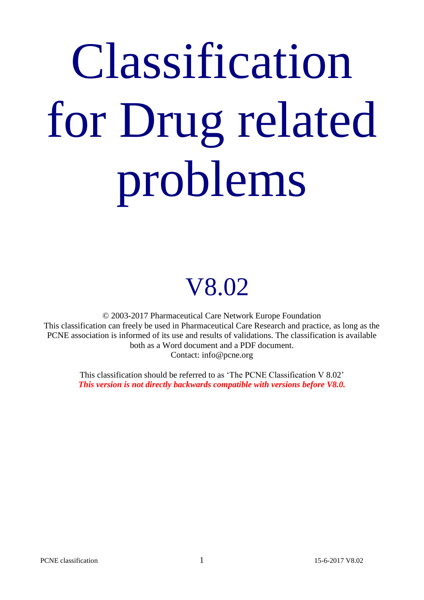# Classification for Drug related problems

## V8.02

© 2003-2017 Pharmaceutical Care Network Europe Foundation This classification can freely be used in Pharmaceutical Care Research and practice, as long as the PCNE association is informed of its use and results of validations. The classification is available both as a Word document and a PDF document. Contact: info@pcne.org

> This classification should be referred to as 'The PCNE Classification V 8.02' *This version is not directly backwards compatible with versions before V8.0.*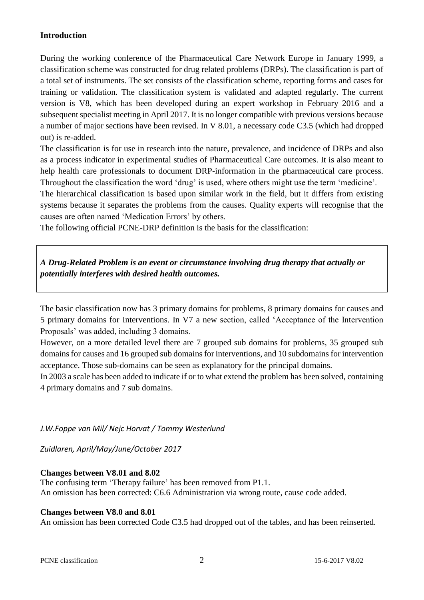#### **Introduction**

During the working conference of the Pharmaceutical Care Network Europe in January 1999, a classification scheme was constructed for drug related problems (DRPs). The classification is part of a total set of instruments. The set consists of the classification scheme, reporting forms and cases for training or validation. The classification system is validated and adapted regularly. The current version is V8, which has been developed during an expert workshop in February 2016 and a subsequent specialist meeting in April 2017. It is no longer compatible with previous versions because a number of major sections have been revised. In V 8.01, a necessary code C3.5 (which had dropped out) is re-added.

The classification is for use in research into the nature, prevalence, and incidence of DRPs and also as a process indicator in experimental studies of Pharmaceutical Care outcomes. It is also meant to help health care professionals to document DRP-information in the pharmaceutical care process. Throughout the classification the word 'drug' is used, where others might use the term 'medicine'.

The hierarchical classification is based upon similar work in the field, but it differs from existing systems because it separates the problems from the causes. Quality experts will recognise that the causes are often named 'Medication Errors' by others.

The following official PCNE-DRP definition is the basis for the classification:

*A Drug-Related Problem is an event or circumstance involving drug therapy that actually or potentially interferes with desired health outcomes.*

The basic classification now has 3 primary domains for problems, 8 primary domains for causes and 5 primary domains for Interventions. In V7 a new section, called 'Acceptance of the Intervention Proposals' was added, including 3 domains.

However, on a more detailed level there are 7 grouped sub domains for problems, 35 grouped sub domains for causes and 16 grouped sub domains for interventions, and 10 subdomains for intervention acceptance. Those sub-domains can be seen as explanatory for the principal domains.

In 2003 a scale has been added to indicate if or to what extend the problem has been solved, containing 4 primary domains and 7 sub domains.

*J.W.Foppe van Mil/ Nejc Horvat / Tommy Westerlund*

*Zuidlaren, April/May/June/October 2017*

#### **Changes between V8.01 and 8.02**

The confusing term 'Therapy failure' has been removed from P1.1. An omission has been corrected: C6.6 Administration via wrong route, cause code added.

#### **Changes between V8.0 and 8.01**

An omission has been corrected Code C3.5 had dropped out of the tables, and has been reinserted.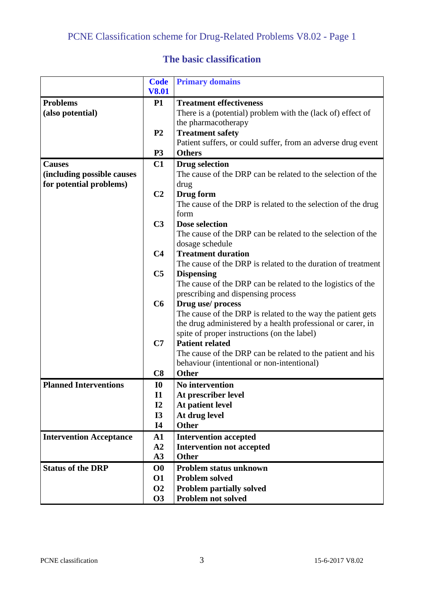#### **The basic classification**

|                                | <b>Code</b>    | <b>Primary domains</b>                                                                    |
|--------------------------------|----------------|-------------------------------------------------------------------------------------------|
|                                | <b>V8.01</b>   |                                                                                           |
| <b>Problems</b>                | <b>P1</b>      | <b>Treatment effectiveness</b>                                                            |
| (also potential)               |                | There is a (potential) problem with the (lack of) effect of                               |
|                                |                | the pharmacotherapy                                                                       |
|                                | P <sub>2</sub> | <b>Treatment safety</b>                                                                   |
|                                |                | Patient suffers, or could suffer, from an adverse drug event                              |
|                                | P <sub>3</sub> | <b>Others</b>                                                                             |
| <b>Causes</b>                  | C1             | <b>Drug selection</b>                                                                     |
| (including possible causes     |                | The cause of the DRP can be related to the selection of the                               |
| for potential problems)        |                | drug                                                                                      |
|                                | C <sub>2</sub> | Drug form                                                                                 |
|                                |                | The cause of the DRP is related to the selection of the drug                              |
|                                |                | form                                                                                      |
|                                | C <sub>3</sub> | Dose selection                                                                            |
|                                |                | The cause of the DRP can be related to the selection of the                               |
|                                |                | dosage schedule                                                                           |
|                                | C <sub>4</sub> | <b>Treatment duration</b><br>The cause of the DRP is related to the duration of treatment |
|                                | C <sub>5</sub> | <b>Dispensing</b>                                                                         |
|                                |                | The cause of the DRP can be related to the logistics of the                               |
|                                |                | prescribing and dispensing process                                                        |
|                                | C6             | Drug use/process                                                                          |
|                                |                | The cause of the DRP is related to the way the patient gets                               |
|                                |                | the drug administered by a health professional or carer, in                               |
|                                |                | spite of proper instructions (on the label)                                               |
|                                | C7             | <b>Patient related</b>                                                                    |
|                                |                | The cause of the DRP can be related to the patient and his                                |
|                                |                | behaviour (intentional or non-intentional)                                                |
|                                | C8             | <b>Other</b>                                                                              |
| <b>Planned Interventions</b>   | I <sub>0</sub> | <b>No intervention</b>                                                                    |
|                                | $\mathbf{I}$   | At prescriber level                                                                       |
|                                | I2             | At patient level                                                                          |
|                                | <b>I3</b>      | At drug level                                                                             |
|                                | <b>I4</b>      | <b>Other</b>                                                                              |
| <b>Intervention Acceptance</b> | $\mathbf{A1}$  | <b>Intervention accepted</b>                                                              |
|                                | A2             | <b>Intervention not accepted</b>                                                          |
|                                | A3             | <b>Other</b>                                                                              |
| <b>Status of the DRP</b>       | $\bf{O}0$      | Problem status unknown                                                                    |
|                                | 01             | <b>Problem solved</b>                                                                     |
|                                | <b>O2</b>      | <b>Problem partially solved</b>                                                           |
|                                | <b>O3</b>      | Problem not solved                                                                        |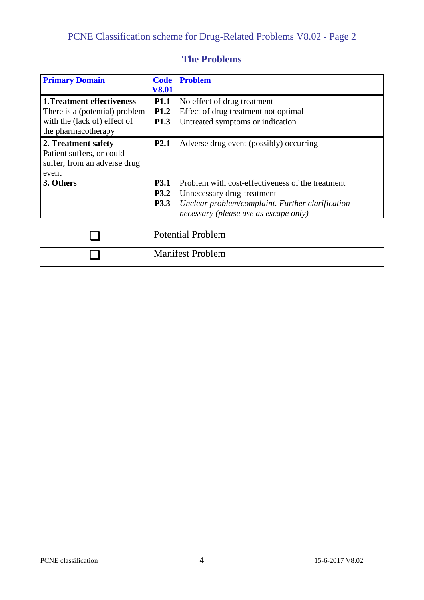| <b>Primary Domain</b>                                                                                                      | <b>Code</b><br><b>V8.01</b>                    | <b>Problem</b>                                                                                                                                                              |
|----------------------------------------------------------------------------------------------------------------------------|------------------------------------------------|-----------------------------------------------------------------------------------------------------------------------------------------------------------------------------|
| <b>1. Treatment effectiveness</b><br>There is a (potential) problem<br>with the (lack of) effect of<br>the pharmacotherapy | <b>P1.1</b><br><b>P1.2</b><br>P <sub>1.3</sub> | No effect of drug treatment<br>Effect of drug treatment not optimal<br>Untreated symptoms or indication                                                                     |
| 2. Treatment safety<br>Patient suffers, or could<br>suffer, from an adverse drug<br>event                                  | P <sub>2.1</sub>                               | Adverse drug event (possibly) occurring                                                                                                                                     |
| 3. Others                                                                                                                  | P3.1<br><b>P3.2</b><br>P3.3                    | Problem with cost-effectiveness of the treatment<br>Unnecessary drug-treatment<br>Unclear problem/complaint. Further clarification<br>necessary (please use as escape only) |
|                                                                                                                            |                                                | <b>Potential Problem</b>                                                                                                                                                    |

Manifest Problem

#### **The Problems**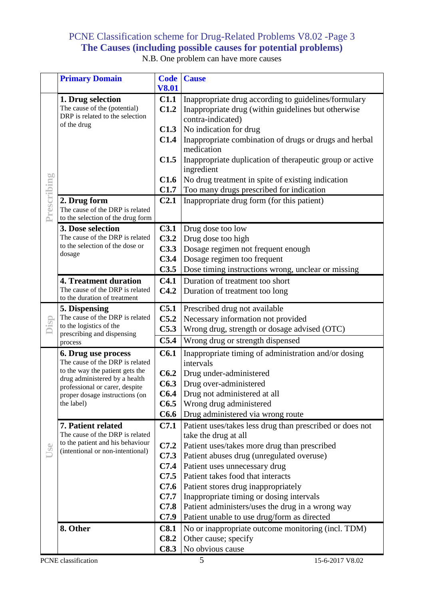#### PCNE Classification scheme for Drug-Related Problems V8.02 -Page 3 **The Causes (including possible causes for potential problems)**

|             | <b>Primary Domain</b>                                              | <b>Code</b>              | <b>Cause</b>                                                                     |
|-------------|--------------------------------------------------------------------|--------------------------|----------------------------------------------------------------------------------|
|             |                                                                    | <b>V8.01</b>             |                                                                                  |
|             | 1. Drug selection                                                  | C <sub>1.1</sub>         | Inappropriate drug according to guidelines/formulary                             |
|             | The cause of the (potential)                                       | C1.2                     | Inappropriate drug (within guidelines but otherwise                              |
|             | DRP is related to the selection<br>of the drug                     |                          | contra-indicated)                                                                |
|             |                                                                    | C1.3                     | No indication for drug                                                           |
|             |                                                                    | C1.4                     | Inappropriate combination of drugs or drugs and herbal                           |
|             |                                                                    |                          | medication                                                                       |
|             |                                                                    | C1.5                     | Inappropriate duplication of therapeutic group or active                         |
|             |                                                                    | C1.6                     | ingredient<br>No drug treatment in spite of existing indication                  |
|             |                                                                    | C1.7                     | Too many drugs prescribed for indication                                         |
|             | 2. Drug form                                                       | C <sub>2.1</sub>         | Inappropriate drug form (for this patient)                                       |
|             | The cause of the DRP is related                                    |                          |                                                                                  |
| Prescribing | to the selection of the drug form                                  |                          |                                                                                  |
|             | 3. Dose selection                                                  | C3.1                     | Drug dose too low                                                                |
|             | The cause of the DRP is related                                    | C3.2                     | Drug dose too high                                                               |
|             | to the selection of the dose or                                    | C3.3                     | Dosage regimen not frequent enough                                               |
|             | dosage                                                             | C3.4                     | Dosage regimen too frequent                                                      |
|             |                                                                    | C3.5                     | Dose timing instructions wrong, unclear or missing                               |
|             | <b>4. Treatment duration</b>                                       | C4.1                     | Duration of treatment too short                                                  |
|             | The cause of the DRP is related                                    | C4.2                     | Duration of treatment too long                                                   |
|             | to the duration of treatment                                       |                          |                                                                                  |
|             | 5. Dispensing<br>The cause of the DRP is related                   | C <sub>5.1</sub><br>C5.2 | Prescribed drug not available                                                    |
| Disp        | to the logistics of the                                            | C5.3                     | Necessary information not provided                                               |
|             | prescribing and dispensing                                         | C5.4                     | Wrong drug, strength or dosage advised (OTC)                                     |
|             | process                                                            |                          | Wrong drug or strength dispensed                                                 |
|             | 6. Drug use process                                                | C6.1                     | Inappropriate timing of administration and/or dosing                             |
|             | The cause of the DRP is related<br>to the way the patient gets the |                          | intervals                                                                        |
|             | drug administered by a health                                      | C6.2                     | Drug under-administered                                                          |
|             | professional or carer, despite                                     | C6.3                     | Drug over-administered                                                           |
|             | proper dosage instructions (on<br>the label)                       | C6.4<br>C6.5             | Drug not administered at all<br>Wrong drug administered                          |
|             |                                                                    | C6.6                     | Drug administered via wrong route                                                |
|             |                                                                    |                          |                                                                                  |
|             | 7. Patient related<br>The cause of the DRP is related              | C7.1                     | Patient uses/takes less drug than prescribed or does not<br>take the drug at all |
|             | to the patient and his behaviour                                   | C7.2                     | Patient uses/takes more drug than prescribed                                     |
| Use         | (intentional or non-intentional)                                   | C7.3                     | Patient abuses drug (unregulated overuse)                                        |
|             |                                                                    | C7.4                     | Patient uses unnecessary drug                                                    |
|             |                                                                    | C7.5                     | Patient takes food that interacts                                                |
|             |                                                                    | C7.6                     | Patient stores drug inappropriately                                              |
|             |                                                                    | C7.7                     | Inappropriate timing or dosing intervals                                         |
|             |                                                                    | C7.8                     | Patient administers/uses the drug in a wrong way                                 |
|             |                                                                    | C7.9                     | Patient unable to use drug/form as directed                                      |
|             | 8. Other                                                           | C8.1                     | No or inappropriate outcome monitoring (incl. TDM)                               |
|             |                                                                    | C8.2                     | Other cause; specify                                                             |
|             |                                                                    | C8.3                     | No obvious cause                                                                 |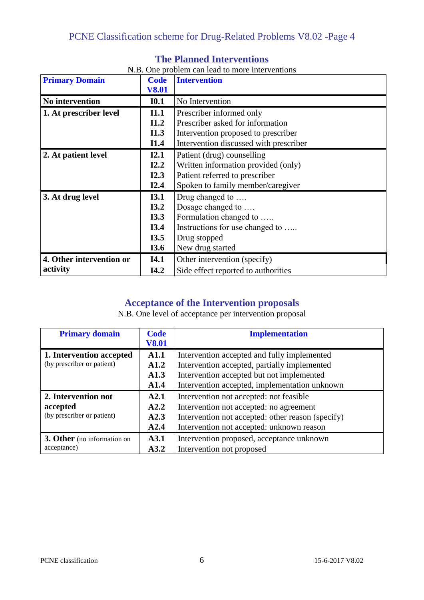| <b>Primary Domain</b>    | <b>Code</b>  | <b>Intervention</b>                    |
|--------------------------|--------------|----------------------------------------|
|                          | <b>V8.01</b> |                                        |
| No intervention          | I0.1         | No Intervention                        |
| 1. At prescriber level   | I1.1         | Prescriber informed only               |
|                          | I1.2         | Prescriber asked for information       |
|                          | I1.3         | Intervention proposed to prescriber    |
|                          | I1.4         | Intervention discussed with prescriber |
| 2. At patient level      | I2.1         | Patient (drug) counselling             |
|                          | I2.2         | Written information provided (only)    |
|                          | I2.3         | Patient referred to prescriber         |
|                          | I2.4         | Spoken to family member/caregiver      |
| 3. At drug level         | I3.1         | Drug changed to                        |
|                          | I3.2         | Dosage changed to                      |
|                          | I3.3         | Formulation changed to                 |
|                          | I3.4         | Instructions for use changed to        |
|                          | I3.5         | Drug stopped                           |
|                          | I3.6         | New drug started                       |
| 4. Other intervention or | <b>I4.1</b>  | Other intervention (specify)           |
| activity                 | I4.2         | Side effect reported to authorities    |

#### **The Planned Interventions**

#### N.B. One problem can lead to more interventions

#### **Acceptance of the Intervention proposals**

N.B. One level of acceptance per intervention proposal

| <b>Primary domain</b>       | <b>Code</b>  | <b>Implementation</b>                             |
|-----------------------------|--------------|---------------------------------------------------|
|                             | <b>V8.01</b> |                                                   |
| 1. Intervention accepted    | A1.1         | Intervention accepted and fully implemented       |
| (by prescriber or patient)  | A1.2         | Intervention accepted, partially implemented      |
|                             | A1.3         | Intervention accepted but not implemented         |
|                             | A1.4         | Intervention accepted, implementation unknown     |
| 2. Intervention not         | A2.1         | Intervention not accepted: not feasible           |
| accepted                    | A2.2         | Intervention not accepted: no agreement           |
| (by prescriber or patient)  | A2.3         | Intervention not accepted: other reason (specify) |
|                             | A2.4         | Intervention not accepted: unknown reason         |
| 3. Other (no information on | A3.1         | Intervention proposed, acceptance unknown         |
| acceptance)                 | A3.2         | Intervention not proposed                         |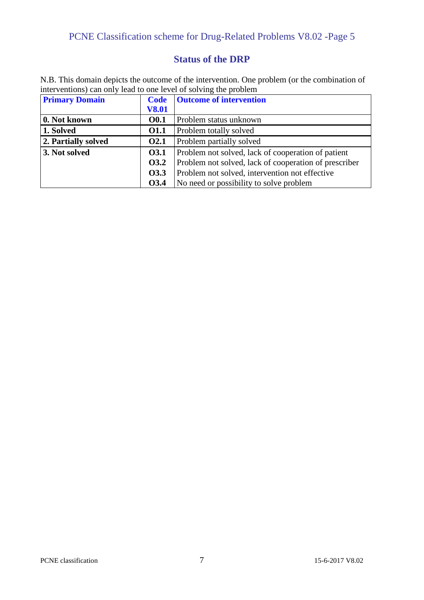#### PCNE Classification scheme for Drug-Related Problems V8.02 -Page 5

#### **Status of the DRP**

N.B. This domain depicts the outcome of the intervention. One problem (or the combination of interventions) can only lead to one level of solving the problem

| <b>Primary Domain</b> | <b>Code</b>  | <b>Outcome of intervention</b>                        |
|-----------------------|--------------|-------------------------------------------------------|
|                       | <b>V8.01</b> |                                                       |
| 0. Not known          | <b>O0.1</b>  | Problem status unknown                                |
| 1. Solved             | 01.1         | Problem totally solved                                |
| 2. Partially solved   | <b>O2.1</b>  | Problem partially solved                              |
| 3. Not solved         | <b>O3.1</b>  | Problem not solved, lack of cooperation of patient    |
|                       | <b>O3.2</b>  | Problem not solved, lack of cooperation of prescriber |
|                       | <b>O3.3</b>  | Problem not solved, intervention not effective        |
|                       | <b>O3.4</b>  | No need or possibility to solve problem               |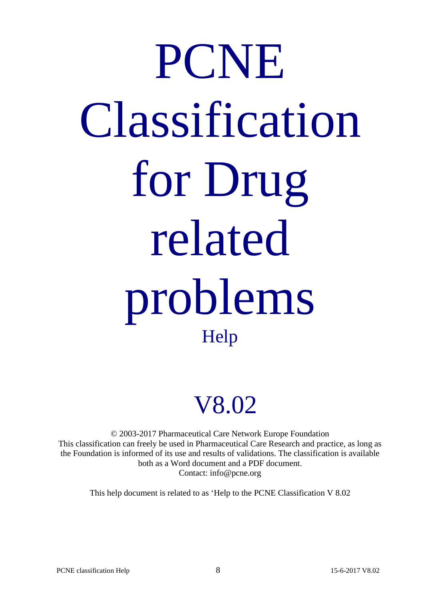## PCNE Classification for Drug related problems Help

### V8.02

© 2003-2017 Pharmaceutical Care Network Europe Foundation This classification can freely be used in Pharmaceutical Care Research and practice, as long as the Foundation is informed of its use and results of validations. The classification is available both as a Word document and a PDF document. Contact: info@pcne.org

This help document is related to as 'Help to the PCNE Classification V 8.02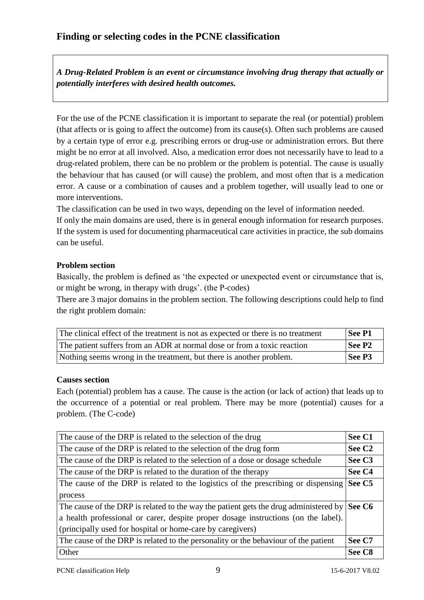*A Drug-Related Problem is an event or circumstance involving drug therapy that actually or potentially interferes with desired health outcomes.*

For the use of the PCNE classification it is important to separate the real (or potential) problem (that affects or is going to affect the outcome) from its cause(s). Often such problems are caused by a certain type of error e.g. prescribing errors or drug-use or administration errors. But there might be no error at all involved. Also, a medication error does not necessarily have to lead to a drug-related problem, there can be no problem or the problem is potential. The cause is usually the behaviour that has caused (or will cause) the problem, and most often that is a medication error. A cause or a combination of causes and a problem together, will usually lead to one or more interventions.

The classification can be used in two ways, depending on the level of information needed.

If only the main domains are used, there is in general enough information for research purposes. If the system is used for documenting pharmaceutical care activities in practice, the sub domains can be useful.

#### **Problem section**

Basically, the problem is defined as 'the expected or unexpected event or circumstance that is, or might be wrong, in therapy with drugs'. (the P-codes)

There are 3 major domains in the problem section. The following descriptions could help to find the right problem domain:

| The clinical effect of the treatment is not as expected or there is no treatment | See P1             |
|----------------------------------------------------------------------------------|--------------------|
| The patient suffers from an ADR at normal dose or from a toxic reaction          | See P <sub>2</sub> |
| Nothing seems wrong in the treatment, but there is another problem.              | See P <sub>3</sub> |

#### **Causes section**

Each (potential) problem has a cause. The cause is the action (or lack of action) that leads up to the occurrence of a potential or real problem. There may be more (potential) causes for a problem. (The C-code)

| The cause of the DRP is related to the selection of the drug                         | See C1             |
|--------------------------------------------------------------------------------------|--------------------|
| The cause of the DRP is related to the selection of the drug form                    | See C <sub>2</sub> |
| The cause of the DRP is related to the selection of a dose or dosage schedule        | See C <sub>3</sub> |
| The cause of the DRP is related to the duration of the therapy                       | See C <sub>4</sub> |
| The cause of the DRP is related to the logistics of the prescribing or dispensing    | See C <sub>5</sub> |
| process                                                                              |                    |
| The cause of the DRP is related to the way the patient gets the drug administered by | See C6             |
| a health professional or carer, despite proper dosage instructions (on the label).   |                    |
| (principally used for hospital or home-care by caregivers)                           |                    |
| The cause of the DRP is related to the personality or the behaviour of the patient   | See C7             |
| Other                                                                                | See C <sub>8</sub> |